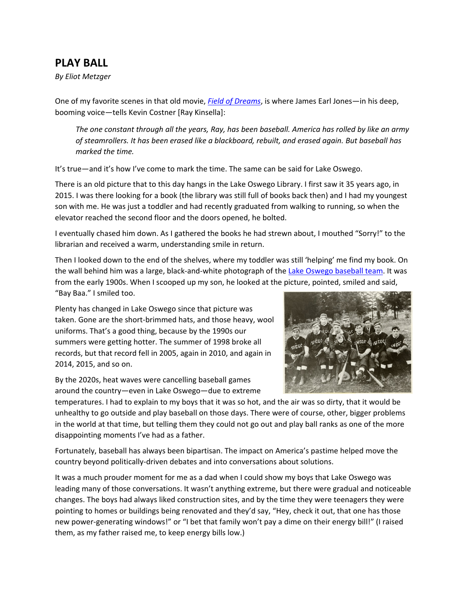## **PLAY BALL**

*By Eliot Metzger*

One of my favorite scenes in that old movie, *Field of [Dreams](https://www.youtube.com/watch?v=QOOLX9R8Ncc)*, is where James Earl Jones—in his deep, booming voice—tells Kevin Costner [Ray Kinsella]:

*The one constant through all the years, Ray, has been baseball. America has rolled by like an army of steamrollers. It has been erased like a blackboard, rebuilt, and erased again. But baseball has marked the time.*

It's true—and it's how I've come to mark the time. The same can be said for Lake Oswego.

There is an old picture that to this day hangs in the Lake Oswego Library. I first saw it 35 years ago, in 2015. I was there looking for a book (the library was still full of books back then) and I had my youngest son with me. He was just a toddler and had recently graduated from walking to running, so when the elevator reached the second floor and the doors opened, he bolted.

I eventually chased him down. As I gathered the books he had strewn about, I mouthed "Sorry!" to the librarian and received a warm, understanding smile in return.

Then I looked down to the end of the shelves, where my toddler was still 'helping' me find my book. On the wall behind him was a large, black-and-white photograph of the Lake Oswego [baseball](https://www.ci.oswego.or.us/tools/library/photos/photos/4489.jpg) team. It was from the early 1900s. When I scooped up my son, he looked at the picture, pointed, smiled and said, "Bay Baa." I smiled too.

Plenty has changed in Lake Oswego since that picture was taken. Gone are the short‐brimmed hats, and those heavy, wool uniforms. That's a good thing, because by the 1990s our summers were getting hotter. The summer of 1998 broke all records, but that record fell in 2005, again in 2010, and again in 2014, 2015, and so on.

By the 2020s, heat waves were cancelling baseball games around the country—even in Lake Oswego—due to extreme



temperatures. I had to explain to my boys that it was so hot, and the air was so dirty, that it would be unhealthy to go outside and play baseball on those days. There were of course, other, bigger problems in the world at that time, but telling them they could not go out and play ball ranks as one of the more disappointing moments I've had as a father.

Fortunately, baseball has always been bipartisan. The impact on America's pastime helped move the country beyond politically‐driven debates and into conversations about solutions.

It was a much prouder moment for me as a dad when I could show my boys that Lake Oswego was leading many of those conversations. It wasn't anything extreme, but there were gradual and noticeable changes. The boys had always liked construction sites, and by the time they were teenagers they were pointing to homes or buildings being renovated and they'd say, "Hey, check it out, that one has those new power‐generating windows!" or "I bet that family won't pay a dime on their energy bill!" (I raised them, as my father raised me, to keep energy bills low.)